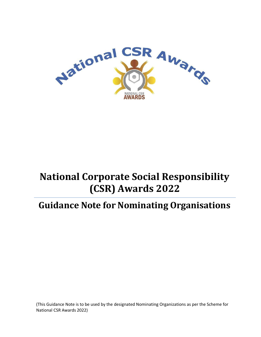

# **National Corporate Social Responsibility (CSR) Awards 2022**

# **Guidance Note for Nominating Organisations**

(This Guidance Note is to be used by the designated Nominating Organizations as per the Scheme for National CSR Awards 2022)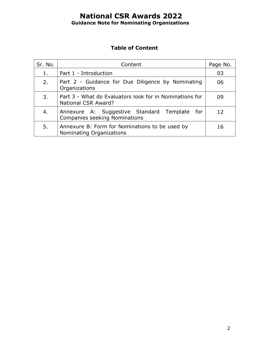#### **Table of Content**

| Sr. No. | Content                                                                               | Page No. |
|---------|---------------------------------------------------------------------------------------|----------|
| 1.      | Part 1 - Introduction                                                                 | 03       |
| 2.      | Part 2 - Guidance for Due Diligence by Nominating<br>Organizations                    | 06       |
| 3.      | Part 3 - What do Evaluators look for in Nominations for<br><b>National CSR Award?</b> | 09       |
| 4.      | Annexure A: Suggestive Standard Template for<br><b>Companies seeking Nominations</b>  | 12       |
| 5.      | Annexure B: Form for Nominations to be used by<br>Nominating Organizations            | 16       |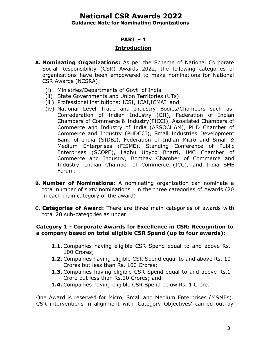**Guidance Note for Nominating Organizations**

#### **PART – 1**

#### **Introduction**

- **A. Nominating Organizations:** As per the Scheme of National Corporate Social Responsibility (CSR) Awards 2022, the following categories of organizations have been empowered to make nominations for National CSR Awards (NCSRA):
	- (i) Ministries/Departments of Govt. of India
	- (ii) State Governments and Union Territories (UTs)
	- (iii) Professional institutions: ICSI, ICAI,ICMAI and
	- (iv) National Level Trade and Industry Bodies/Chambers such as: Confederation of Indian Industry (CII), Federation of Indian Chambers of Commerce & Industry(FICCI), Associated Chambers of Commerce and Industry of India (ASSOCHAM), PHD Chamber of Commerce and Industry (PHDCCI), Small Industries Development Bank of India (SIDBI), Federation of Indian Micro and Small & Medium Enterprises (FISME), Standing Conference of Public Enterprises (SCOPE), Laghu Udyog Bharti, IMC Chamber of Commerce and Industry, Bombay Chamber of Commerce and Industry, Indian Chamber of Commerce (ICC), and India SME Forum.
- **B. Number of Nominations:** A nominating organization can nominate a total number of sixty nominations in the three categories of Awards (20 in each main category of the award):
- **C. Categories of Award:** There are three main categories of awards with total 20 sub-categories as under:

#### **Category 1 - Corporate Awards for Excellence in CSR: Recognition to a company based on total eligible CSR Spend (up to four awards):**

- **1.1.** Companies having eligible CSR Spend equal to and above Rs. 100 Crores;
- **1.2.** Companies having eligible CSR Spend equal to and above Rs. 10 Crores but less than Rs. 100 Crores;
- **1.3.** Companies having eligible CSR Spend equal to and above Rs.1 Crore but less than Rs.10 Crores; and
- **1.4.** Companies having eligible CSR Spend below Rs. 1 Crore.

One Award is reserved for Micro, Small and Medium Enterprises (MSMEs). CSR interventions in alignment with 'Category Objectives' carried out by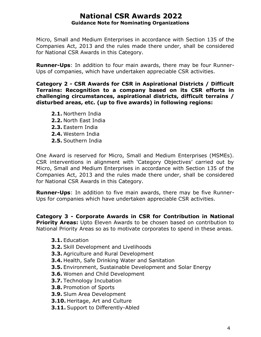Micro, Small and Medium Enterprises in accordance with Section 135 of the Companies Act, 2013 and the rules made there under, shall be considered for National CSR Awards in this Category.

**Runner-Ups**: In addition to four main awards, there may be four Runner-Ups of companies, which have undertaken appreciable CSR activities.

**Category 2 - CSR Awards for CSR in Aspirational Districts / Difficult Terrains: Recognition to a company based on its CSR efforts in challenging circumstances, aspirational districts, difficult terrains / disturbed areas, etc. (up to five awards) in following regions:**

- **2.1.** Northern India
- **2.2.** North East India
- **2.3.** Eastern India
- **2.4.** Western India
- **2.5.** Southern India

One Award is reserved for Micro, Small and Medium Enterprises (MSMEs). CSR interventions in alignment with 'Category Objectives' carried out by Micro, Small and Medium Enterprises in accordance with Section 135 of the Companies Act, 2013 and the rules made there under, shall be considered for National CSR Awards in this Category.

**Runner-Ups**: In addition to five main awards, there may be five Runner-Ups for companies which have undertaken appreciable CSR activities.

**Category 3 - Corporate Awards in CSR for Contribution in National Priority Areas:** Upto Eleven Awards to be chosen based on contribution to National Priority Areas so as to motivate corporates to spend in these areas.

- **3.1.** Education
- **3.2.** Skill Development and Livelihoods
- **3.3.** Agriculture and Rural Development
- **3.4.** Health, Safe Drinking Water and Sanitation
- **3.5.** Environment, Sustainable Development and Solar Energy
- **3.6.** Women and Child Development
- **3.7.** Technology Incubation
- **3.8.** Promotion of Sports
- **3.9.** Slum Area Development
- **3.10.** Heritage, Art and Culture
- **3.11.** Support to Differently-Abled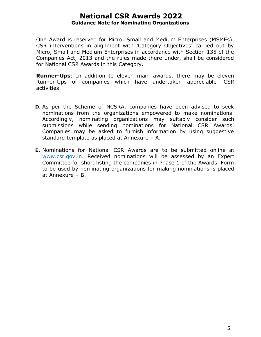One Award is reserved for Micro, Small and Medium Enterprises (MSMEs). CSR interventions in alignment with 'Category Objectives' carried out by Micro, Small and Medium Enterprises in accordance with Section 135 of the Companies Act, 2013 and the rules made there under, shall be considered for National CSR Awards in this Category.

**Runner-Ups**: In addition to eleven main awards, there may be eleven Runner-Ups of companies which have undertaken appreciable CSR activities.

- **D.** As per the Scheme of NCSRA, companies have been advised to seek nominations from the organizations empowered to make nominations. Accordingly, nominating organizations may suitably consider such submissions while sending nominations for National CSR Awards. Companies may be asked to furnish information by using suggestive standard template as placed at Annexure – A.
- **E.** Nominations for National CSR Awards are to be submitted online at [www.csr.gov.in.](http://www.csr.gov.in/) Received nominations will be assessed by an Expert Committee for short listing the companies in Phase 1 of the Awards. Form to be used by nominating organizations for making nominations is placed at Annexure – B.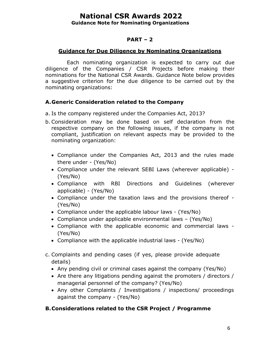#### **Guidance Note for Nominating Organizations**

#### **PART – 2**

#### **Guidance for Due Diligence by Nominating Organizations**

Each nominating organization is expected to carry out due diligence of the Companies / CSR Projects before making their nominations for the National CSR Awards. Guidance Note below provides a suggestive criterion for the due diligence to be carried out by the nominating organizations:

#### **A.Generic Consideration related to the Company**

- a. Is the company registered under the Companies Act, 2013?
- b. Consideration may be done based on self declaration from the respective company on the following issues, if the company is not compliant, justification on relevant aspects may be provided to the nominating organization:
	- Compliance under the Companies Act, 2013 and the rules made there under - (Yes/No)
	- Compliance under the relevant SEBI Laws (wherever applicable) (Yes/No)
	- Compliance with RBI Directions and Guidelines (wherever applicable) - (Yes/No)
	- Compliance under the taxation laws and the provisions thereof (Yes/No)
	- Compliance under the applicable labour laws (Yes/No)
	- Compliance under applicable environmental laws (Yes/No)
	- Compliance with the applicable economic and commercial laws (Yes/No)
	- Compliance with the applicable industrial laws (Yes/No)
- c. Complaints and pending cases (if yes, please provide adequate details)
	- Any pending civil or criminal cases against the company (Yes/No)
	- Are there any litigations pending against the promoters / directors / managerial personnel of the company? (Yes/No)
	- Any other Complaints / Investigations / inspections/ proceedings against the company - (Yes/No)

#### **B.Considerations related to the CSR Project / Programme**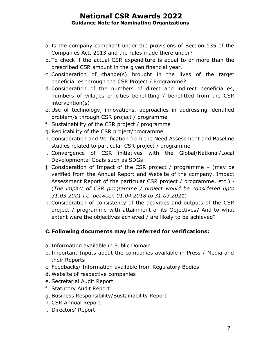- a. Is the company compliant under the provisions of Section 135 of the Companies Act, 2013 and the rules made there under?
- b. To check if the actual CSR expenditure is equal to or more than the prescribed CSR amount in the given financial year.
- c. Consideration of change(s) brought in the lives of the target beneficiaries through the CSR Project / Programme?
- d. Consideration of the numbers of direct and indirect beneficiaries, numbers of villages or cities benefitting / benefitted from the CSR intervention(s)
- e. Use of technology, innovations, approaches in addressing identified problem/s through CSR project / programme
- f. Sustainability of the CSR project / programme
- g. Replicability of the CSR project/programme
- h. Consideration and Verification from the Need Assessment and Baseline studies related to particular CSR project / programme
- i. Convergence of CSR initiatives with the Global/National/Local Developmental Goals such as SDGs
- j. Consideration of Impact of the CSR project / programme (may be verified from the Annual Report and Website of the company, Impact Assessment Report of the particular CSR project / programme, etc.) - (*The impact of CSR programme / project would be considered upto 31.03.2021 i.e. between 01.04.2018 to 31.03.2021*)
- k. Consideration of consistency of the activities and outputs of the CSR project / programme with attainment of its Objectives? And to what extent were the objectives achieved / are likely to be achieved?

### **C.Following documents may be referred for verifications:**

- a. Information available in Public Domain
- b. Important Inputs about the companies available in Press / Media and their Reports
- c. Feedbacks/ Information available from Regulatory Bodies
- d. Website of respective companies
- e. Secretarial Audit Report
- f. Statutory Audit Report
- g. Business Responsibility/Sustainability Report
- h. CSR Annual Report
- i. Directors' Report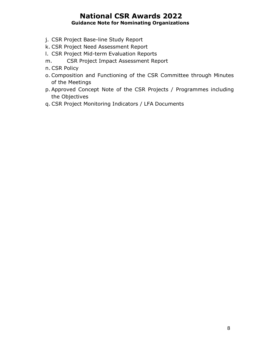- j. CSR Project Base-line Study Report
- k. CSR Project Need Assessment Report
- l. CSR Project Mid-term Evaluation Reports
- m. CSR Project Impact Assessment Report
- n. CSR Policy
- o. Composition and Functioning of the CSR Committee through Minutes of the Meetings
- p. Approved Concept Note of the CSR Projects / Programmes including the Objectives
- q. CSR Project Monitoring Indicators / LFA Documents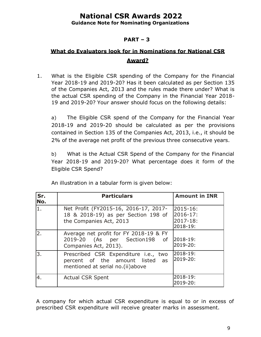**Guidance Note for Nominating Organizations**

# **PART – 3**

# **What do Evaluators look for in Nominations for National CSR Award?**

1. What is the Eligible CSR spending of the Company for the Financial Year 2018-19 and 2019-20? Has it been calculated as per Section 135 of the Companies Act, 2013 and the rules made there under? What is the actual CSR spending of the Company in the Financial Year 2018- 19 and 2019-20? Your answer should focus on the following details:

a) The Eligible CSR spend of the Company for the Financial Year 2018-19 and 2019-20 should be calculated as per the provisions contained in Section 135 of the Companies Act, 2013, i.e., it should be 2% of the average net profit of the previous three consecutive years.

b) What is the Actual CSR Spend of the Company for the Financial Year 2018-19 and 2019-20? What percentage does it form of the Eligible CSR Spend?

| Sr.<br>No. | <b>Particulars</b>                                                                                          | <b>Amount in INR</b>                             |
|------------|-------------------------------------------------------------------------------------------------------------|--------------------------------------------------|
| 1.         | Net Profit (FY2015-16, 2016-17, 2017-<br>18 & 2018-19) as per Section 198 of<br>the Companies Act, 2013     | 2015-16:<br>2016-17:<br>$2017 - 18:$<br>2018-19: |
| 2.         | Average net profit for FY 2018-19 & FY<br>(As per Section198 of<br>2019-20<br>Companies Act, 2013).         | 2018-19:<br>2019-20:                             |
| 3.         | Prescribed CSR Expenditure i.e., two<br>percent of the amount listed as<br>mentioned at serial no.(ii)above | 2018-19:<br>2019-20:                             |
| 4.         | <b>Actual CSR Spent</b>                                                                                     | 2018-19:<br>2019-20:                             |

An illustration in a tabular form is given below:

A company for which actual CSR expenditure is equal to or in excess of prescribed CSR expenditure will receive greater marks in assessment.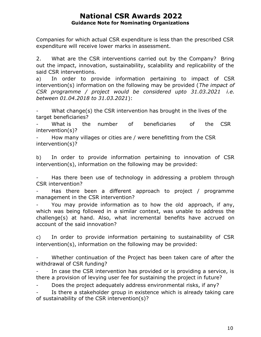Companies for which actual CSR expenditure is less than the prescribed CSR expenditure will receive lower marks in assessment.

2. What are the CSR interventions carried out by the Company? Bring out the impact, innovation, sustainability, scalability and replicability of the said CSR interventions.

a) In order to provide information pertaining to impact of CSR intervention(s) information on the following may be provided (*The impact of CSR programme / project would be considered upto 31.03.2021 i.e. between 01.04.2018 to 31.03.2021*):

What change(s) the CSR intervention has brought in the lives of the target beneficiaries?

What is the number of beneficiaries of the CSR intervention(s)?

How many villages or cities are / were benefitting from the CSR intervention(s)?

b) In order to provide information pertaining to innovation of CSR intervention(s), information on the following may be provided:

Has there been use of technology in addressing a problem through CSR intervention?

Has there been a different approach to project / programme management in the CSR intervention?

You may provide information as to how the old approach, if any, which was being followed in a similar context, was unable to address the challenge(s) at hand. Also, what incremental benefits have accrued on account of the said innovation?

c) In order to provide information pertaining to sustainability of CSR intervention(s), information on the following may be provided:

Whether continuation of the Project has been taken care of after the withdrawal of CSR funding?

In case the CSR intervention has provided or is providing a service, is there a provision of levying user fee for sustaining the project in future?

Does the project adequately address environmental risks, if any?

Is there a stakeholder group in existence which is already taking care of sustainability of the CSR intervention(s)?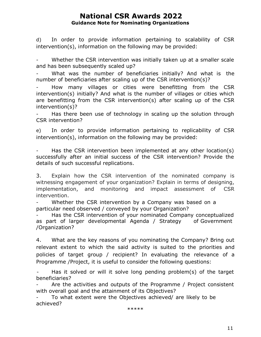d) In order to provide information pertaining to scalability of CSR intervention(s), information on the following may be provided:

Whether the CSR intervention was initially taken up at a smaller scale and has been subsequently scaled up?

What was the number of beneficiaries initially? And what is the number of beneficiaries after scaling up of the CSR intervention(s)?

How many villages or cities were benefitting from the CSR intervention(s) initially? And what is the number of villages or cities which are benefitting from the CSR intervention(s) after scaling up of the CSR intervention(s)?

Has there been use of technology in scaling up the solution through CSR intervention?

e) In order to provide information pertaining to replicability of CSR intervention(s), information on the following may be provided:

Has the CSR intervention been implemented at any other location(s) successfully after an initial success of the CSR intervention? Provide the details of such successful replications.

3. Explain how the CSR intervention of the nominated company is witnessing engagement of your organization? Explain in terms of designing, implementation, and monitoring and impact assessment of CSR intervention.

Whether the CSR intervention by a Company was based on a particular need observed / conveyed by your Organization?

Has the CSR intervention of your nominated Company conceptualized as part of larger developmental Agenda / Strategy of Government /Organization?

4. What are the key reasons of you nominating the Company? Bring out relevant extent to which the said activity is suited to the priorities and policies of target group / recipient? In evaluating the relevance of a Programme /Project, it is useful to consider the following questions:

Has it solved or will it solve long pending problem(s) of the target beneficiaries?

Are the activities and outputs of the Programme / Project consistent with overall goal and the attainment of its Objectives?

To what extent were the Objectives achieved/ are likely to be achieved?

\*\*\*\*\*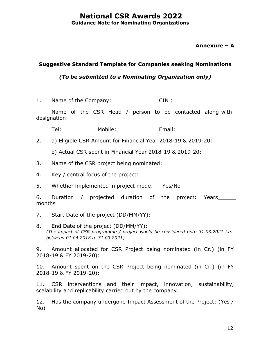#### **Annexure – A**

#### **Suggestive Standard Template for Companies seeking Nominations**

#### *(To be submitted to a Nominating Organization only)*

1. Name of the Company: CIN :

Name of the CSR Head / person to be contacted along with designation:

Tel: Mobile: Email:

2. a) Eligible CSR Amount for Financial Year 2018-19 & 2019-20:

b) Actual CSR spent in Financial Year 2018-19 & 2019-20:

- 3. Name of the CSR project being nominated:
- 4. Key / central focus of the project:
- 5. Whether implemented in project mode: Yes/No

6. Duration / projected duration of the project: Years months

- 7. Start Date of the project (DD/MM/YY):
- 8. End Date of the project (DD/MM/YY): *(The impact of CSR programme / project would be considered upto 31.03.2021 i.e. between 01.04.2018 to 31.03.2021).*

9. Amount allocated for CSR Project being nominated (in Cr.) (in FY 2018-19 & FY 2019-20):

10. Amount spent on the CSR Project being nominated (in Cr.) (in FY 2018-19 & FY 2019-20):

11. CSR interventions and their impact, innovation, sustainability, scalability and replicability carried out by the company.

12. Has the company undergone Impact Assessment of the Project: (Yes / No)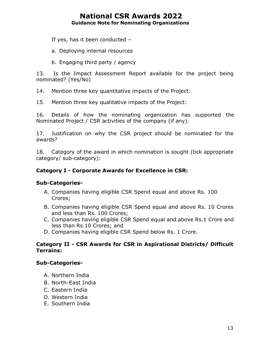If yes, has it been conducted –

- a. Deploying internal resources
- b. Engaging third party / agency

13. Is the Impact Assessment Report available for the project being nominated? (Yes/No)

14. Mention three key quantitative impacts of the Project:

15. Mention three key qualitative impacts of the Project:

16. Details of how the nominating organization has supported the Nominated Project / CSR activities of the company (if any).

17. Justification on why the CSR project should be nominated for the awards?

18. Category of the award in which nomination is sought (tick appropriate category/ sub-category):

#### **Category I - Corporate Awards for Excellence in CSR:**

#### **Sub-Categories-**

- A. Companies having eligible CSR Spend equal and above Rs. 100 Crores;
- B. Companies having eligible CSR Spend equal and above Rs. 10 Crores and less than Rs. 100 Crores;
- C. Companies having eligible CSR Spend equal and above Rs.1 Crore and less than Rs.10 Crores; and
- D. Companies having eligible CSR Spend below Rs. 1 Crore.

#### **Category II - CSR Awards for CSR in Aspirational Districts/ Difficult Terrains:**

#### **Sub-Categories-**

- A. Northern India
- B. North-East India
- C. Eastern India
- D. Western India
- E. Southern India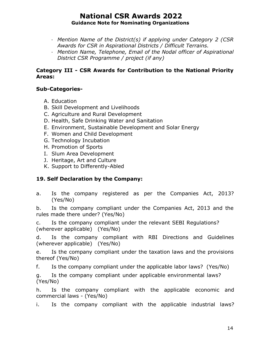- *Mention Name of the District(s) if applying under Category 2 (CSR Awards for CSR in Aspirational Districts / Difficult Terrains.*
- *Mention Name, Telephone, Email of the Nodal officer of Aspirational District CSR Programme / project (if any)*

#### **Category III - CSR Awards for Contribution to the National Priority Areas:**

### **Sub-Categories-**

- A. Education
- B. Skill Development and Livelihoods
- C. Agriculture and Rural Development
- D. Health, Safe Drinking Water and Sanitation
- E. Environment, Sustainable Development and Solar Energy
- F. Women and Child Development
- G. Technology Incubation
- H. Promotion of Sports
- I. Slum Area Development
- J. Heritage, Art and Culture
- K. Support to Differently-Abled

# **19. Self Declaration by the Company:**

a. Is the company registered as per the Companies Act, 2013? (Yes/No)

b. Is the company compliant under the Companies Act, 2013 and the rules made there under? (Yes/No)

c. Is the company compliant under the relevant SEBI Regulations? (wherever applicable) (Yes/No)

d. Is the company compliant with RBI Directions and Guidelines (wherever applicable) (Yes/No)

e. Is the company compliant under the taxation laws and the provisions thereof (Yes/No)

f. Is the company compliant under the applicable labor laws? (Yes/No)

g. Is the company compliant under applicable environmental laws? (Yes/No)

h. Is the company compliant with the applicable economic and commercial laws - (Yes/No)

i. Is the company compliant with the applicable industrial laws?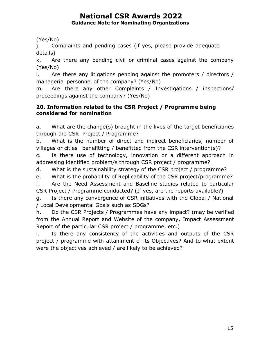(Yes/No)

j. Complaints and pending cases (if yes, please provide adequate details)

k. Are there any pending civil or criminal cases against the company (Yes/No)

l. Are there any litigations pending against the promoters / directors / managerial personnel of the company? (Yes/No)

m. Are there any other Complaints / Investigations / inspections/ proceedings against the company? (Yes/No)

### **20. Information related to the CSR Project / Programme being considered for nomination**

a. What are the change(s) brought in the lives of the target beneficiaries through the CSR Project / Programme?

b. What is the number of direct and indirect beneficiaries, number of villages or cities benefitting / benefitted from the CSR intervention(s)?

c. Is there use of technology, innovation or a different approach in addressing identified problem/s through CSR project / programme?

d. What is the sustainability strategy of the CSR project / programme?

e. What is the probability of Replicability of the CSR project/programme?

f. Are the Need Assessment and Baseline studies related to particular CSR Project / Programme conducted? (If yes, are the reports available?)

g. Is there any convergence of CSR initiatives with the Global / National / Local Developmental Goals such as SDGs?

h. Do the CSR Projects / Programmes have any impact? (may be verified from the Annual Report and Website of the company, Impact Assessment Report of the particular CSR project / programme, etc.)

i. Is there any consistency of the activities and outputs of the CSR project / programme with attainment of its Objectives? And to what extent were the objectives achieved / are likely to be achieved?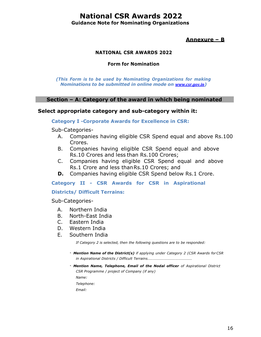**Guidance Note for Nominating Organizations**

**Annexure – B**

#### **NATIONAL CSR AWARDS 2022**

#### **Form for Nomination**

*(This Form is to be used by Nominating Organizations for making Nominations to be submitted in online mode on [www.csr.gov.in](http://www.csr.gov.in/))*

#### **Section – A: Category of the award in which being nominated**

#### **Select appropriate category and sub-category within it:**

#### **Category I -Corporate Awards for Excellence in CSR:**

Sub-Categories-

- A. Companies having eligible CSR Spend equal and above Rs.100 Crores.
- B. Companies having eligible CSR Spend equal and above Rs.10 Crores and less than Rs.100 Crores;
- C. Companies having eligible CSR Spend equal and above Rs.1 Crore and less thanRs.10 Crores; and
- **D.** Companies having eligible CSR Spend below Rs.1 Crore.

#### **Category II - CSR Awards for CSR in Aspirational**

#### **Districts/ Difficult Terrains:**

Sub-Categories-

- A. Northern India
- B. North-East India
- C. Eastern India
- D. Western India
- E. Southern India

*If Category 2 is selected, then the following questions are to be responded:*

- *Mention Name of the District(s) if applying under Category 2 (CSR Awards forCSR in Aspirational Districts / Difficult Terrains…………………………………………*
- *Mention Name, Telephone, Email of the Nodal officer of Aspirational District CSR Programme / project of Company (if any)*

*Name:*

*Telephone:*

*Email:*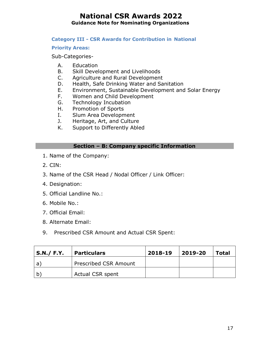**Category III - CSR Awards for Contribution in National**

#### **Priority Areas:**

Sub-Categories-

- A. Education
- B. Skill Development and Livelihoods
- C. Agriculture and Rural Development
- D. Health, Safe Drinking Water and Sanitation
- E. Environment, Sustainable Development and Solar Energy
- F. Women and Child Development
- G. Technology Incubation
- H. Promotion of Sports
- I. Slum Area Development
- J. Heritage, Art, and Culture
- K. Support to Differently Abled

#### **Section – B: Company specific Information**

- 1. Name of the Company:
- 2. CIN:
- 3. Name of the CSR Head / Nodal Officer / Link Officer:
- 4. Designation:
- 5. Official Landline No.:
- 6. Mobile No.:
- 7. Official Email:
- 8. Alternate Email:
- 9. Prescribed CSR Amount and Actual CSR Spent:

| S.N./ F.Y. Particulars |                              | 2018-19 | 2019-20 | <b>Total</b> |
|------------------------|------------------------------|---------|---------|--------------|
| a                      | <b>Prescribed CSR Amount</b> |         |         |              |
| b                      | Actual CSR spent             |         |         |              |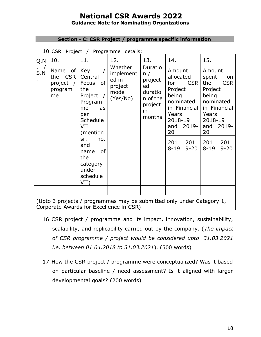#### **Section - C: CSR Project / programme specific information**

| $10.$ CSR $-$<br>Programme details:<br>Project / |                                                                       |                                                                                                                                                                                                                 |                                                              |                                                                                   |                                                                                                                                                                         |                                                                                                                                                                             |  |  |
|--------------------------------------------------|-----------------------------------------------------------------------|-----------------------------------------------------------------------------------------------------------------------------------------------------------------------------------------------------------------|--------------------------------------------------------------|-----------------------------------------------------------------------------------|-------------------------------------------------------------------------------------------------------------------------------------------------------------------------|-----------------------------------------------------------------------------------------------------------------------------------------------------------------------------|--|--|
| Q.N                                              | 10.                                                                   | 11.                                                                                                                                                                                                             | 12.                                                          | 13.                                                                               | 14.                                                                                                                                                                     | 15.                                                                                                                                                                         |  |  |
| S.N                                              | Name<br>the CSR<br>project<br>$\sqrt{ }$<br>program<br>me             | of $ $ Key<br>Central<br>of<br>Focus<br>the<br>Project /<br>Program<br>me<br>as<br>per<br>Schedule<br>VII<br>(mention<br>sr.<br>no.<br>and<br><b>of</b><br>name<br>the<br>category<br>under<br>schedule<br>VII) | Whether<br>implement<br>ed in<br>project<br>mode<br>(Yes/No) | Duratio<br>n /<br>project<br>ed<br>duratio<br>n of the<br>project<br>in<br>months | Amount<br>allocated<br>CSR  <br>for<br>Project<br>being<br>nominated<br>in Financial<br>Years<br>2018-19<br>$2019 -$<br>and<br>20<br>201<br>201<br>$8 - 19$<br>$9 - 20$ | Amount<br>spent<br>on<br>the<br><b>CSR</b><br>Project<br>being<br>nominated<br>in Financial<br>Years<br>2018-19<br>2019-<br>and<br>20<br>201<br>201<br>$8 - 19$<br>$9 - 20$ |  |  |
|                                                  |                                                                       |                                                                                                                                                                                                                 |                                                              |                                                                                   |                                                                                                                                                                         |                                                                                                                                                                             |  |  |
|                                                  | (Upto 3 projects / programmes may be submitted only under Category 1, |                                                                                                                                                                                                                 |                                                              |                                                                                   |                                                                                                                                                                         |                                                                                                                                                                             |  |  |

Corporate Awards for Excellence in CSR)

- 16.CSR project / programme and its impact, innovation, sustainability, scalability, and replicability carried out by the company. (*The impact of CSR programme / project would be considered upto 31.03.2021 i.e. between 01.04.2018 to 31.03.2021*). (500 words)
- 17.How the CSR project / programme were conceptualized? Was it based on particular baseline / need assessment? Is it aligned with larger developmental goals? (200 words)